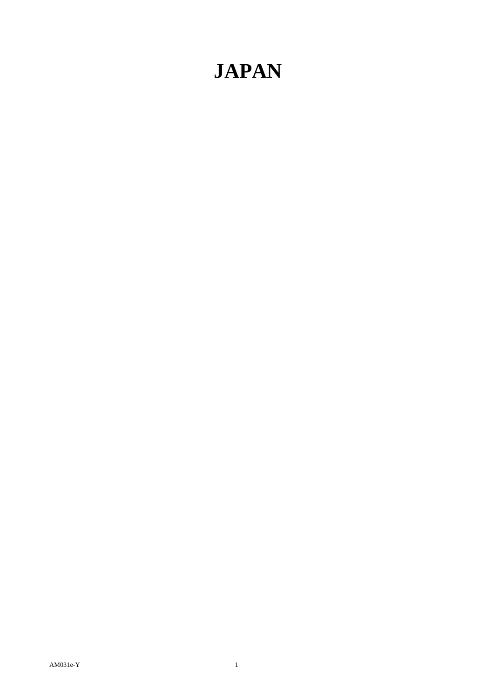# **JAPAN**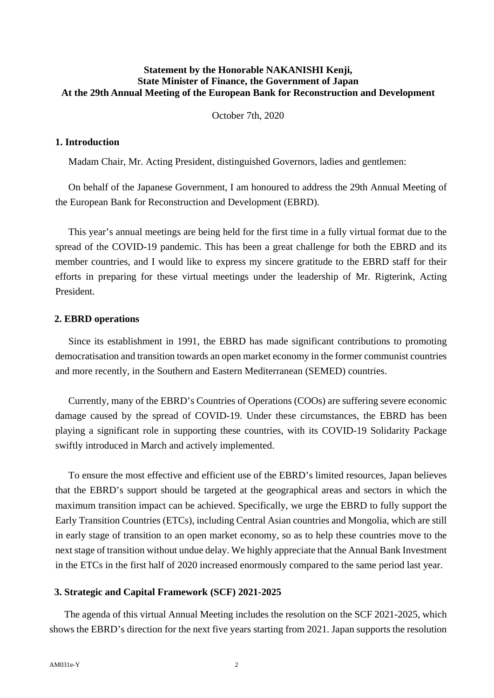### **Statement by the Honorable NAKANISHI Kenji, State Minister of Finance, the Government of Japan At the 29th Annual Meeting of the European Bank for Reconstruction and Development**

October 7th, 2020

#### **1. Introduction**

Madam Chair, Mr. Acting President, distinguished Governors, ladies and gentlemen:

On behalf of the Japanese Government, I am honoured to address the 29th Annual Meeting of the European Bank for Reconstruction and Development (EBRD).

This year's annual meetings are being held for the first time in a fully virtual format due to the spread of the COVID-19 pandemic. This has been a great challenge for both the EBRD and its member countries, and I would like to express my sincere gratitude to the EBRD staff for their efforts in preparing for these virtual meetings under the leadership of Mr. Rigterink, Acting President.

#### **2. EBRD operations**

Since its establishment in 1991, the EBRD has made significant contributions to promoting democratisation and transition towards an open market economy in the former communist countries and more recently, in the Southern and Eastern Mediterranean (SEMED) countries.

Currently, many of the EBRD's Countries of Operations (COOs) are suffering severe economic damage caused by the spread of COVID-19. Under these circumstances, the EBRD has been playing a significant role in supporting these countries, with its COVID-19 Solidarity Package swiftly introduced in March and actively implemented.

To ensure the most effective and efficient use of the EBRD's limited resources, Japan believes that the EBRD's support should be targeted at the geographical areas and sectors in which the maximum transition impact can be achieved. Specifically, we urge the EBRD to fully support the Early Transition Countries (ETCs), including Central Asian countries and Mongolia, which are still in early stage of transition to an open market economy, so as to help these countries move to the next stage of transition without undue delay. We highly appreciate that the Annual Bank Investment in the ETCs in the first half of 2020 increased enormously compared to the same period last year.

#### **3. Strategic and Capital Framework (SCF) 2021-2025**

The agenda of this virtual Annual Meeting includes the resolution on the SCF 2021-2025, which shows the EBRD's direction for the next five years starting from 2021. Japan supports the resolution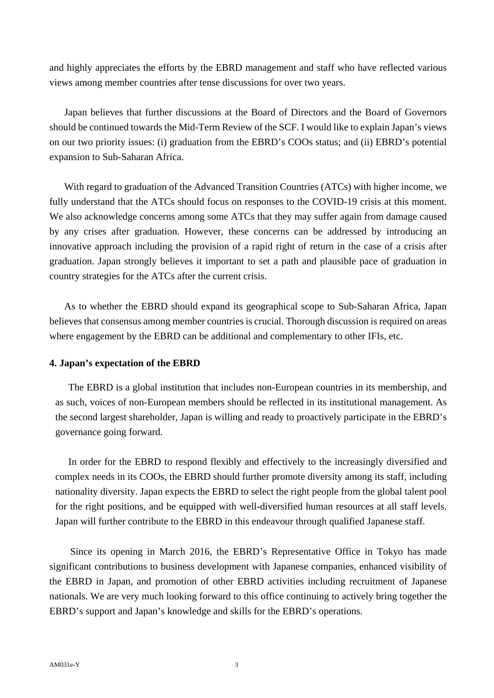and highly appreciates the efforts by the EBRD management and staff who have reflected various views among member countries after tense discussions for over two years.

Japan believes that further discussions at the Board of Directors and the Board of Governors should be continued towards the Mid-Term Review of the SCF. I would like to explain Japan's views on our two priority issues: (i) graduation from the EBRD's COOs status; and (ii) EBRD's potential expansion to Sub-Saharan Africa.

With regard to graduation of the Advanced Transition Countries (ATCs) with higher income, we fully understand that the ATCs should focus on responses to the COVID-19 crisis at this moment. We also acknowledge concerns among some ATCs that they may suffer again from damage caused by any crises after graduation. However, these concerns can be addressed by introducing an innovative approach including the provision of a rapid right of return in the case of a crisis after graduation. Japan strongly believes it important to set a path and plausible pace of graduation in country strategies for the ATCs after the current crisis.

As to whether the EBRD should expand its geographical scope to Sub-Saharan Africa, Japan believes that consensus among member countries is crucial. Thorough discussion is required on areas where engagement by the EBRD can be additional and complementary to other IFIs, etc.

## **4. Japan's expectation of the EBRD**

The EBRD is a global institution that includes non-European countries in its membership, and as such, voices of non-European members should be reflected in its institutional management. As the second largest shareholder, Japan is willing and ready to proactively participate in the EBRD's governance going forward.

In order for the EBRD to respond flexibly and effectively to the increasingly diversified and complex needs in its COOs, the EBRD should further promote diversity among its staff, including nationality diversity. Japan expects the EBRD to select the right people from the global talent pool for the right positions, and be equipped with well-diversified human resources at all staff levels. Japan will further contribute to the EBRD in this endeavour through qualified Japanese staff.

Since its opening in March 2016, the EBRD's Representative Office in Tokyo has made significant contributions to business development with Japanese companies, enhanced visibility of the EBRD in Japan, and promotion of other EBRD activities including recruitment of Japanese nationals. We are very much looking forward to this office continuing to actively bring together the EBRD's support and Japan's knowledge and skills for the EBRD's operations.